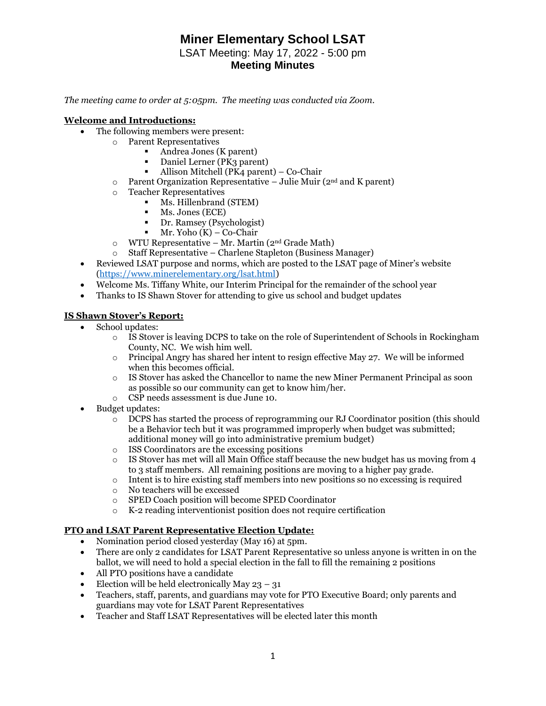## **Miner Elementary School LSAT** LSAT Meeting: May 17, 2022 - 5:00 pm **Meeting Minutes**

*The meeting came to order at 5:05pm. The meeting was conducted via Zoom.* 

#### **Welcome and Introductions:**

- The following members were present:
	- o Parent Representatives
		- Andrea Jones (K parent)
		- Daniel Lerner (PK3 parent)
		- Allison Mitchell (PK4 parent) Co-Chair
	- $\circ$  Parent Organization Representative Julie Muir (2<sup>nd</sup> and K parent)
	- o Teacher Representatives
		- Ms. Hillenbrand (STEM)
			- **•** Ms. Jones (ECE)
			- Dr. Ramsey (Psychologist)
			- $\blacksquare$  Mr. Yoho (K) Co-Chair
	- $\circ$  WTU Representative Mr. Martin (2<sup>nd</sup> Grade Math)
	- o Staff Representative Charlene Stapleton (Business Manager)
- Reviewed LSAT purpose and norms, which are posted to the LSAT page of Miner's website [\(https://www.minerelementary.org/lsat.html\)](https://www.minerelementary.org/lsat.html)
- Welcome Ms. Tiffany White, our Interim Principal for the remainder of the school year
- Thanks to IS Shawn Stover for attending to give us school and budget updates

## **IS Shawn Stover's Report:**

- School updates:
	- o IS Stover is leaving DCPS to take on the role of Superintendent of Schools in Rockingham County, NC. We wish him well.
	- $\circ$  Principal Angry has shared her intent to resign effective May 27. We will be informed when this becomes official.
	- o IS Stover has asked the Chancellor to name the new Miner Permanent Principal as soon as possible so our community can get to know him/her.
	- o CSP needs assessment is due June 10.
- Budget updates:
	- $\overline{\circ}$  DCPS has started the process of reprogramming our RJ Coordinator position (this should be a Behavior tech but it was programmed improperly when budget was submitted; additional money will go into administrative premium budget)
	- o ISS Coordinators are the excessing positions
	- $\circ$  IS Stover has met will all Main Office staff because the new budget has us moving from 4 to 3 staff members. All remaining positions are moving to a higher pay grade.
	- $\circ$  Intent is to hire existing staff members into new positions so no excessing is required
	- o No teachers will be excessed
	- o SPED Coach position will become SPED Coordinator
	- o K-2 reading interventionist position does not require certification

#### **PTO and LSAT Parent Representative Election Update:**

- Nomination period closed yesterday (May 16) at 5pm.
- There are only 2 candidates for LSAT Parent Representative so unless anyone is written in on the ballot, we will need to hold a special election in the fall to fill the remaining 2 positions
- All PTO positions have a candidate
- Election will be held electronically May  $23 31$
- Teachers, staff, parents, and guardians may vote for PTO Executive Board; only parents and guardians may vote for LSAT Parent Representatives
- Teacher and Staff LSAT Representatives will be elected later this month